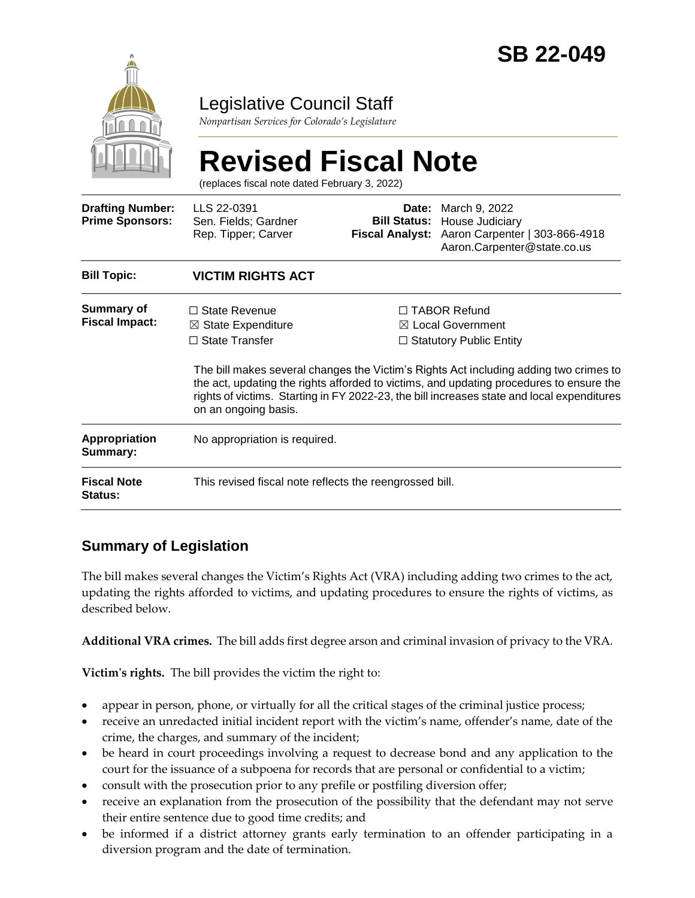

# Legislative Council Staff

*Nonpartisan Services for Colorado's Legislature*

# **Revised Fiscal Note**

(replaces fiscal note dated February 3, 2022)

| <b>Drafting Number:</b><br><b>Prime Sponsors:</b> | LLS 22-0391<br>Sen. Fields; Gardner<br>Rep. Tipper; Carver                                             | Date:<br><b>Bill Status:</b><br><b>Fiscal Analyst:</b> | March 9, 2022<br>House Judiciary<br>Aaron Carpenter   303-866-4918<br>Aaron.Carpenter@state.co.us                                                                                                                                                                                                                                                        |  |
|---------------------------------------------------|--------------------------------------------------------------------------------------------------------|--------------------------------------------------------|----------------------------------------------------------------------------------------------------------------------------------------------------------------------------------------------------------------------------------------------------------------------------------------------------------------------------------------------------------|--|
| <b>Bill Topic:</b>                                | <b>VICTIM RIGHTS ACT</b>                                                                               |                                                        |                                                                                                                                                                                                                                                                                                                                                          |  |
| Summary of<br><b>Fiscal Impact:</b>               | $\Box$ State Revenue<br>$\boxtimes$ State Expenditure<br>$\Box$ State Transfer<br>on an ongoing basis. |                                                        | □ TABOR Refund<br>⊠ Local Government<br>$\Box$ Statutory Public Entity<br>The bill makes several changes the Victim's Rights Act including adding two crimes to<br>the act, updating the rights afforded to victims, and updating procedures to ensure the<br>rights of victims. Starting in FY 2022-23, the bill increases state and local expenditures |  |
| <b>Appropriation</b><br>Summary:                  | No appropriation is required.                                                                          |                                                        |                                                                                                                                                                                                                                                                                                                                                          |  |
| <b>Fiscal Note</b><br>Status:                     | This revised fiscal note reflects the reengrossed bill.                                                |                                                        |                                                                                                                                                                                                                                                                                                                                                          |  |

# **Summary of Legislation**

The bill makes several changes the Victim's Rights Act (VRA) including adding two crimes to the act, updating the rights afforded to victims, and updating procedures to ensure the rights of victims, as described below.

**Additional VRA crimes.** The bill adds first degree arson and criminal invasion of privacy to the VRA.

**Victim's rights.** The bill provides the victim the right to:

- appear in person, phone, or virtually for all the critical stages of the criminal justice process;
- receive an unredacted initial incident report with the victim's name, offender's name, date of the crime, the charges, and summary of the incident;
- be heard in court proceedings involving a request to decrease bond and any application to the court for the issuance of a subpoena for records that are personal or confidential to a victim;
- consult with the prosecution prior to any prefile or postfiling diversion offer;
- receive an explanation from the prosecution of the possibility that the defendant may not serve their entire sentence due to good time credits; and
- be informed if a district attorney grants early termination to an offender participating in a diversion program and the date of termination.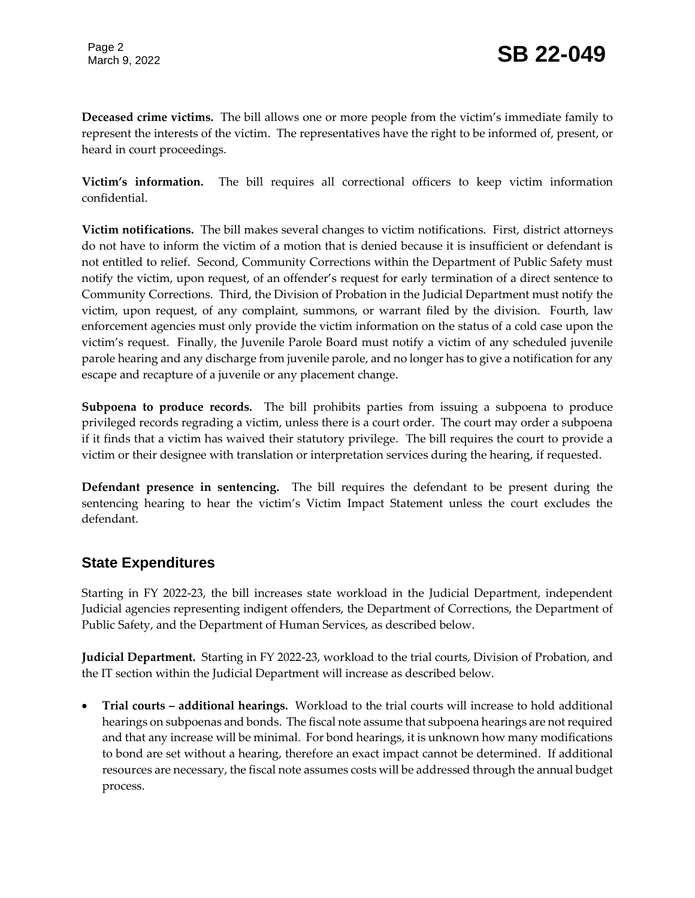**Deceased crime victims.** The bill allows one or more people from the victim's immediate family to represent the interests of the victim. The representatives have the right to be informed of, present, or heard in court proceedings.

**Victim's information.** The bill requires all correctional officers to keep victim information confidential.

**Victim notifications.** The bill makes several changes to victim notifications. First, district attorneys do not have to inform the victim of a motion that is denied because it is insufficient or defendant is not entitled to relief. Second, Community Corrections within the Department of Public Safety must notify the victim, upon request, of an offender's request for early termination of a direct sentence to Community Corrections. Third, the Division of Probation in the Judicial Department must notify the victim, upon request, of any complaint, summons, or warrant filed by the division. Fourth, law enforcement agencies must only provide the victim information on the status of a cold case upon the victim's request. Finally, the Juvenile Parole Board must notify a victim of any scheduled juvenile parole hearing and any discharge from juvenile parole, and no longer has to give a notification for any escape and recapture of a juvenile or any placement change.

**Subpoena to produce records.** The bill prohibits parties from issuing a subpoena to produce privileged records regrading a victim, unless there is a court order. The court may order a subpoena if it finds that a victim has waived their statutory privilege. The bill requires the court to provide a victim or their designee with translation or interpretation services during the hearing, if requested.

**Defendant presence in sentencing.** The bill requires the defendant to be present during the sentencing hearing to hear the victim's Victim Impact Statement unless the court excludes the defendant.

#### **State Expenditures**

Starting in FY 2022-23, the bill increases state workload in the Judicial Department, independent Judicial agencies representing indigent offenders, the Department of Corrections, the Department of Public Safety, and the Department of Human Services, as described below.

**Judicial Department.** Starting in FY 2022-23, workload to the trial courts, Division of Probation, and the IT section within the Judicial Department will increase as described below.

 **Trial courts – additional hearings.** Workload to the trial courts will increase to hold additional hearings on subpoenas and bonds. The fiscal note assume that subpoena hearings are not required and that any increase will be minimal. For bond hearings, it is unknown how many modifications to bond are set without a hearing, therefore an exact impact cannot be determined. If additional resources are necessary, the fiscal note assumes costs will be addressed through the annual budget process.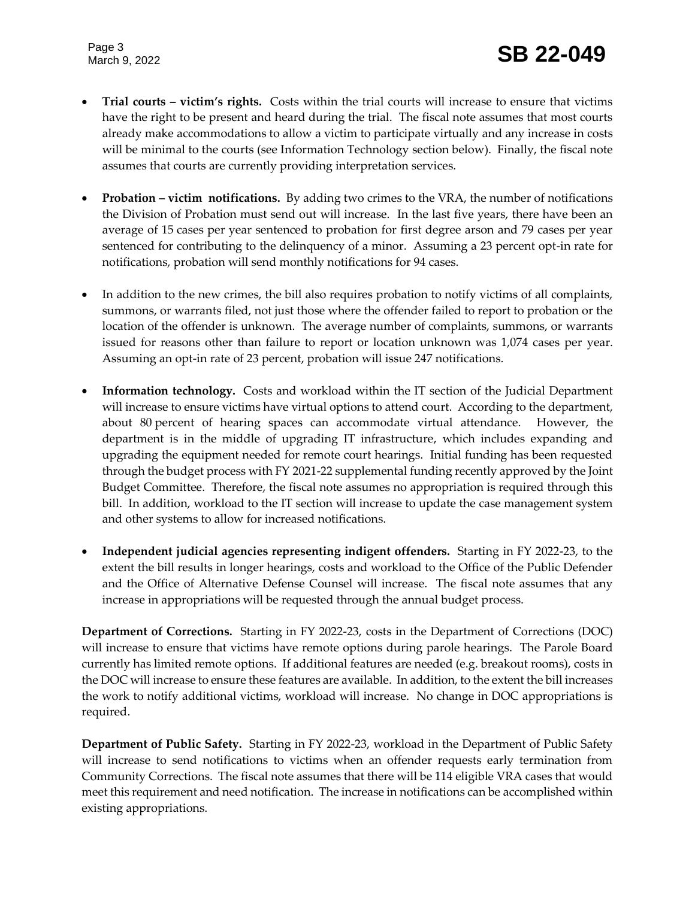Page 3

- **Trial courts – victim's rights.** Costs within the trial courts will increase to ensure that victims have the right to be present and heard during the trial. The fiscal note assumes that most courts already make accommodations to allow a victim to participate virtually and any increase in costs will be minimal to the courts (see Information Technology section below). Finally, the fiscal note assumes that courts are currently providing interpretation services.
- **Probation victim** notifications. By adding two crimes to the VRA, the number of notifications the Division of Probation must send out will increase. In the last five years, there have been an average of 15 cases per year sentenced to probation for first degree arson and 79 cases per year sentenced for contributing to the delinquency of a minor. Assuming a 23 percent opt-in rate for notifications, probation will send monthly notifications for 94 cases.
- In addition to the new crimes, the bill also requires probation to notify victims of all complaints, summons, or warrants filed, not just those where the offender failed to report to probation or the location of the offender is unknown. The average number of complaints, summons, or warrants issued for reasons other than failure to report or location unknown was 1,074 cases per year. Assuming an opt-in rate of 23 percent, probation will issue 247 notifications.
- **Information technology.** Costs and workload within the IT section of the Judicial Department will increase to ensure victims have virtual options to attend court. According to the department, about 80 percent of hearing spaces can accommodate virtual attendance. However, the department is in the middle of upgrading IT infrastructure, which includes expanding and upgrading the equipment needed for remote court hearings. Initial funding has been requested through the budget process with FY 2021-22 supplemental funding recently approved by the Joint Budget Committee. Therefore, the fiscal note assumes no appropriation is required through this bill. In addition, workload to the IT section will increase to update the case management system and other systems to allow for increased notifications.
- **Independent judicial agencies representing indigent offenders.** Starting in FY 2022-23, to the extent the bill results in longer hearings, costs and workload to the Office of the Public Defender and the Office of Alternative Defense Counsel will increase. The fiscal note assumes that any increase in appropriations will be requested through the annual budget process.

**Department of Corrections.** Starting in FY 2022-23, costs in the Department of Corrections (DOC) will increase to ensure that victims have remote options during parole hearings. The Parole Board currently has limited remote options. If additional features are needed (e.g. breakout rooms), costs in the DOC will increase to ensure these features are available. In addition, to the extent the bill increases the work to notify additional victims, workload will increase. No change in DOC appropriations is required.

**Department of Public Safety.** Starting in FY 2022-23, workload in the Department of Public Safety will increase to send notifications to victims when an offender requests early termination from Community Corrections. The fiscal note assumes that there will be 114 eligible VRA cases that would meet this requirement and need notification. The increase in notifications can be accomplished within existing appropriations.